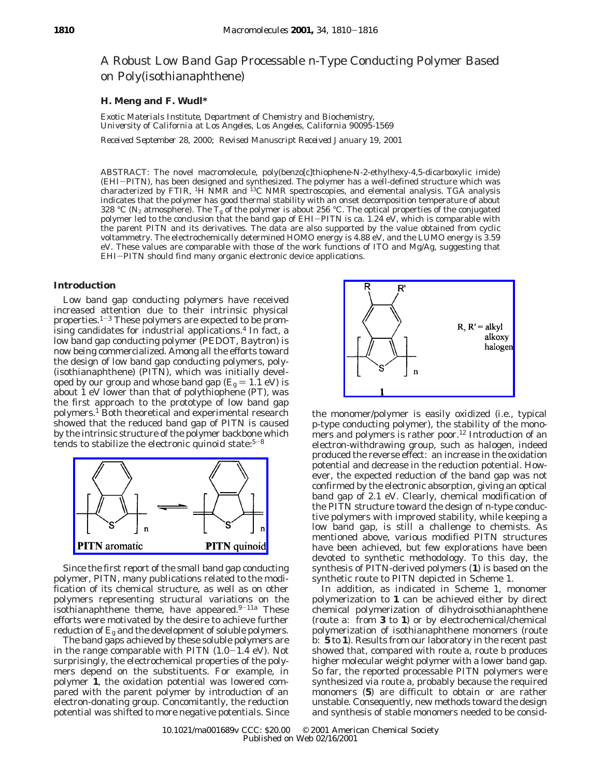# A Robust Low Band Gap Processable n-Type Conducting Polymer Based on Poly(isothianaphthene)

## **H. Meng and F. Wudl\***

*Exotic Materials Institute, Department of Chemistry and Biochemistry, University of California at Los Angeles, Los Angeles, California 90095-1569*

*Received September 28, 2000; Revised Manuscript Received January 19, 2001*

ABSTRACT: The novel macromolecule, poly(benzo[*c*]thiophene*-N*-2-ethylhexy-4,5-dicarboxylic imide) (EHI-PITN), has been designed and synthesized. The polymer has a well-defined structure which was characterized by FTIR, <sup>1</sup>H NMR and  ${}^{13}$ C NMR spectroscopies, and elemental analysis. TGA analysis indicates that the polymer has good thermal stability with an onset decomposition temperature of about 328 °C (N<sub>2</sub> atmosphere). The  $T_g$  of the polymer is about 256 °C. The optical properties of the conjugated polymer led to the conclusion that the band gap of EHI-PITN is ca. 1.24 eV, which is comparable with the parent PITN and its derivatives. The data are also supported by the value obtained from cyclic voltammetry. The electrochemically determined HOMO energy is 4.88 eV, and the LUMO energy is 3.59 eV. These values are comparable with those of the work functions of ITO and Mg/Ag, suggesting that EHI-PITN should find many organic electronic device applications.

# **Introduction**

Low band gap conducting polymers have received increased attention due to their intrinsic physical properties.<sup>1-3</sup> These polymers are expected to be promising candidates for industrial applications.<sup>4</sup> In fact, a low band gap conducting polymer (PEDOT, Baytron) is now being commercialized. Among all the efforts toward the design of low band gap conducting polymers, poly- (isothianaphthene) (PITN), which was initially developed by our group and whose band gap  $(E_g = 1.1 \text{ eV})$  is about 1 eV lower than that of polythiophene (PT), was the first approach to the prototype of low band gap polymers.1 Both theoretical and experimental research showed that the reduced band gap of PITN is caused by the intrinsic structure of the polymer backbone which tends to stabilize the electronic quinoid state: $5-8$ 



Since the first report of the small band gap conducting polymer, PITN, many publications related to the modification of its chemical structure, as well as on other polymers representing structural variations on the isothianaphthene theme, have appeared. $9-11a$  These efforts were motivated by the desire to achieve further reduction of *E*<sup>g</sup> and the development of soluble polymers.

The band gaps achieved by these soluble polymers are in the range comparable with PITN  $(1.0-1.4 \text{ eV})$ . Not surprisingly, the electrochemical properties of the polymers depend on the substituents. For example, in polymer **1**, the oxidation potential was lowered compared with the parent polymer by introduction of an electron-donating group. Concomitantly, the reduction potential was shifted to more negative potentials. Since



the monomer/polymer is easily oxidized (i.e., typical p-type conducting polymer), the stability of the monomers and polymers is rather poor.<sup>12</sup> Introduction of an electron-withdrawing group, such as halogen, indeed produced the reverse effect: an increase in the oxidation potential and decrease in the reduction potential. However, the expected reduction of the band gap was not confirmed by the electronic absorption, giving an optical band gap of 2.1 eV. Clearly, chemical modification of the PITN structure toward the design of n-type conductive polymers with improved stability, while keeping a low band gap, is still a challenge to chemists. As mentioned above, various modified PITN structures have been achieved, but few explorations have been devoted to synthetic methodology. To this day, the synthesis of PITN-derived polymers (**1**) is based on the synthetic route to PITN depicted in Scheme 1.

In addition, as indicated in Scheme 1, monomer polymerization to **1** can be achieved either by direct chemical polymerization of dihydroisothianaphthene (route a: from **3** to **1**) or by electrochemical/chemical polymerization of isothianaphthene monomers (route b: **5** to **1**). Results from our laboratory in the recent past showed that, compared with route a, route b produces higher molecular weight polymer with a lower band gap. So far, the reported processable PITN polymers were synthesized via route a, probably because the required monomers (**5**) are difficult to obtain or are rather unstable. Consequently, new methods toward the design and synthesis of stable monomers needed to be consid-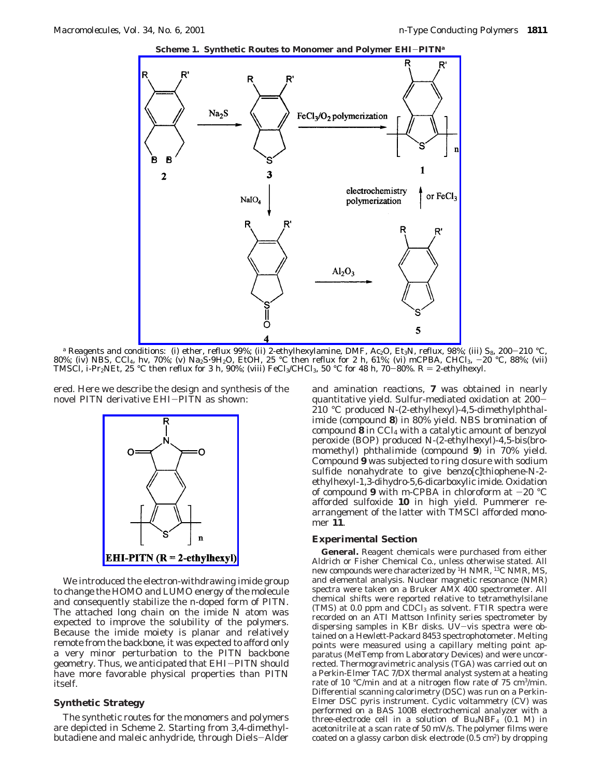

*a* Reagents and conditions: (i) ether, reflux 99%; (ii) 2-ethylhexylamine, DMF, Ac<sub>2</sub>O, Et<sub>3</sub>N, reflux, 98%; (iii) S<sub>8</sub>, 200–210 °C,<br>%: (iv) NBS, CCl4, *hv. 70%; (v*) Na<sub>2</sub>S+9H2O, EtOH, 25 °C then reflux for 2 h, 61%; (vi 80%; (iv) NBS, CCl4, *hv*, 70%; (v) Na2S'9H2O, EtOH, 25 °C then reflux for 2 h, 61%; (vi) *<sup>m</sup>*CPBA, CHCl3, -20 °C, 88%; (vii) TMSCl, *i*-Pr<sub>2</sub>NEt, 25 °C then reflux for 3 h, 90%; (viii) FeCl<sub>3</sub>/CHCl<sub>3</sub>, 50 °C for 48 h, 70–80%. R = 2-ethylhexyl.

ered. Here we describe the design and synthesis of the novel PITN derivative EHI-PITN as shown:



We introduced the electron-withdrawing imide group to change the HOMO and LUMO energy of the molecule and consequently stabilize the n-doped form of PITN. The attached long chain on the imide N atom was expected to improve the solubility of the polymers. Because the imide moiety is planar and relatively remote from the backbone, it was expected to afford only a very minor perturbation to the PITN backbone geometry. Thus, we anticipated that EHI-PITN should have more favorable physical properties than PITN itself.

# **Synthetic Strategy**

The synthetic routes for the monomers and polymers are depicted in Scheme 2. Starting from 3,4-dimethylbutadiene and maleic anhydride, through Diels-Alder and amination reactions, **7** was obtained in nearly quantitative yield. Sulfur-mediated oxidation at 200- 210 °C produced *N*-(2-ethylhexyl)-4,5-dimethylphthalimide (compound **8**) in 80% yield. NBS bromination of compound **8** in CCl4 with a catalytic amount of benzyol peroxide (BOP) produced *N*-(2-ethylhexyl)-4,5-bis(bromomethyl) phthalimide (compound **9**) in 70% yield. Compound **9** was subjected to ring closure with sodium sulfide nonahydrate to give benzo[*c*]thiophene-*N*-2 ethylhexyl-1,3-dihydro-5,6-dicarboxylic imide. Oxidation of compound 9 with *m*-CPBA in chloroform at  $-20$  °C afforded sulfoxide **10** in high yield. Pummerer rearrangement of the latter with TMSCl afforded monomer **11**.

# **Experimental Section**

**General.** Reagent chemicals were purchased from either Aldrich or Fisher Chemical Co., unless otherwise stated. All new compounds were characterized by 1H NMR, 13C NMR, MS, and elemental analysis. Nuclear magnetic resonance (NMR) spectra were taken on a Bruker AMX 400 spectrometer. All chemical shifts were reported relative to tetramethylsilane  $(TMS)$  at 0.0 ppm and  $\widehat{CDCl}_3$  as solvent. FTIR spectra were recorded on an ATI Mattson Infinity series spectrometer by dispersing samples in KBr disks. UV-vis spectra were obtained on a Hewlett-Packard 8453 spectrophotometer. Melting points were measured using a capillary melting point apparatus (MelTemp from Laboratory Devices) and were uncorrected. Thermogravimetric analysis (TGA) was carried out on a Perkin-Elmer TAC 7/DX thermal analyst system at a heating rate of 10 °C/min and at a nitrogen flow rate of 75 cm<sup>3</sup>/min. Differential scanning calorimetry (DSC) was run on a Perkin-Elmer DSC pyris instrument. Cyclic voltammetry (CV) was performed on a BAS 100B electrochemical analyzer with a three-electrode cell in a solution of  $Bu_4NBF_4$  (0.1 M) in acetonitrile at a scan rate of 50 mV/s. The polymer films were coated on a glassy carbon disk electrode  $(0.5 \text{ cm}^2)$  by dropping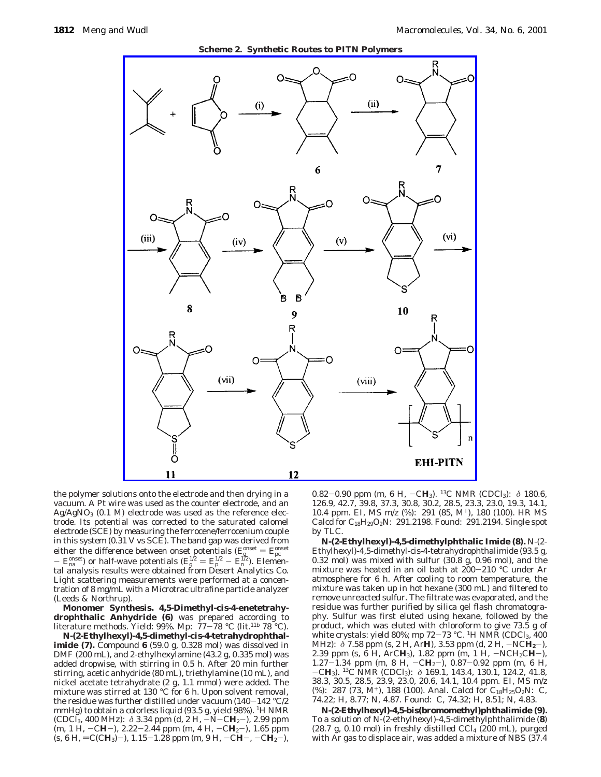

the polymer solutions onto the electrode and then drying in a vacuum. A Pt wire was used as the counter electrode, and an  $Ag/AgNO<sub>3</sub>$  (0.1 M) electrode was used as the reference electrode. Its potential was corrected to the saturated calomel electrode (SCE) by measuring the ferrocene/ferrocenium couple in this system (0.31 V vs SCE). The band gap was derived from either the difference between onset potentials  $(E_g^{\text{onset}} = E_{\text{pro}}^{\text{onset}})$ <br>  $E_g^{\text{onset}}$  or half-wave potentials  $(E_g^{1/2} - E_{\text{per}}^{1/2})$ . Element  $- E_{\text{ma}}^{\text{onset}}$  or half-wave potentials  $(E_{\text{g}}^{1/2} = E_{\text{p}}^{1/2} - E_{\text{m}}^{1/2})$ . Elemen-<br>tal analysis results were obtained from Desert Analytics Co. tal analysis results were obtained from Desert Analytics Co. Light scattering measurements were performed at a concentration of 8 mg/mL with a Microtrac ultrafine particle analyzer (Leeds & Northrup).

**Monomer Synthesis. 4,5-Dimethyl-***cis***-4-enetetrahydrophthalic Anhydride (6)** was prepared according to literature methods. Yield: 99%. Mp:  $77-78$  °C (lit.<sup>11b</sup> 78 °C).

*N***-(2-Ethylhexyl)-4,5-dimethyl-***cis***-4-tetrahydrophthalimide (7).** Compound **6** (59.0 g, 0.328 mol) was dissolved in DMF (200 mL), and 2-ethylhexylamine (43.2 g, 0.335 mol) was added dropwise, with stirring in 0.5 h. After 20 min further stirring, acetic anhydride (80 mL), triethylamine (10 mL), and nickel acetate tetrahydrate (2 g, 1.1 mmol) were added. The mixture was stirred at 130 °C for 6 h. Upon solvent removal, the residue was further distilled under vacuum (140-142 °C/2 mmHg) to obtain a colorless liquid (93.5 g, yield 98%). <sup>1</sup>H NMR (CDCI<sub>3</sub>, 400 MHz):  $\delta$  3.34 ppm (d, 2 H,  $-N-CH_2$ ), 2.99 ppm (m, 1 H, −C**H**−), 2.22−2.44 ppm (m, 4 H, −C**H**<sub>2</sub>−), 1.65 ppm  $(s, 6$  H,  $= C(CH_3)-)$ , 1.15-1.28 ppm (m, 9 H,  $-CH-$ ,  $-C\dot{H_2}-)$ ),

0.82-0.90 ppm (m, 6 H,  $-CH_3$ ). <sup>13</sup>C NMR (CDCl<sub>3</sub>):  $\delta$  180.6, 126.9, 42.7, 39.8, 37.3, 30.8, 30.2, 28.5, 23.3, 23.0, 19.3, 14.1, 10.4 ppm. EI, MS *m*/*z* (%): 291 (85, M+), 180 (100). HR MS Calcd for  $C_{18}H_{29}O_2N: 291.2198.$  Found: 291.2194. Single spot by TLC.

*N***-(2-Ethylhexyl)-4,5-dimethylphthalic Imide (8).** *N*-(2- Ethylhexyl)-4,5-dimethyl-*cis*-4-tetrahydrophthalimide (93.5 g, 0.32 mol) was mixed with sulfur (30.8 g, 0.96 mol), and the mixture was heated in an oil bath at 200-210 °C under Ar atmosphere for 6 h. After cooling to room temperature, the mixture was taken up in hot hexane (300 mL) and filtered to remove unreacted sulfur. The filtrate was evaporated, and the residue was further purified by silica gel flash chromatography. Sulfur was first eluted using hexane, followed by the product, which was eluted with chloroform to give 73.5 g of white crystals: yield 80%; mp  $72-73$  °C. <sup>1</sup>H NMR (CDCl<sub>3</sub>, 400 MHz): *δ* 7.58 ppm (s, 2 H, Ar**H**), 3.53 ppm (d, 2 H,  $\neg$ NC**H**<sub>2</sub>-), 2.39 ppm (s, 6 H, ArC**H**<sub>3</sub>), 1.82 ppm (m, 1 H,  $\neg$ NCH<sub>2</sub>C**H**-), 2.39 ppm (s, 6 H, ArC**H**<sub>3</sub>), 1.82 ppm (m, 1 H,  $-NCH_2CH-$ ), 1.87–1.34 ppm (m, 8 H,  $-CH_2-C-H_2$ ) 0.87–0.92 ppm (m, 6 H 1.27-1.34 ppm (m, 8 H,  $-CH_2$ ), 0.87-0.92 ppm (m, 6 H,  $-CH_2$ ) <sup>13</sup>C NMR (CDCl<sub>2</sub>):  $\land$  169 1 143 4 130 1 124 2 41 8  $-CH_3$ ). <sup>13</sup>C NMR (CDCl<sub>3</sub>):  $\delta$  169.1, 143.4, 130.1, 124.2, 41.8, 38.3, 30.5, 28.5, 23.9, 23.0, 20.6, 14.1, 10.4 ppm EI MS *m/z* 38.3, 30.5, 28.5, 23.9, 23.0, 20.6, 14.1, 10.4 ppm. EI, MS *m*/*z* (%): 287 (73, M<sup>+</sup>), 188 (100). Anal. Calcd for C<sub>18</sub>H<sub>25</sub>O<sub>2</sub>N: C, 74.22; H, 8.77; N, 4.87. Found: C, 74.32; H, 8.51; N, 4.83.

*N***-(2-Ethylhexyl)***-***4,5-bis(bromomethyl)phthalimide (9).** To a solution of *N-*(2-ethylhexyl)*-*4,5-dimethylphthalimide (**8**)  $(28.7 g, 0.10 mol)$  in freshly distilled CCl<sub>4</sub> (200 mL), purged with Ar gas to displace air, was added a mixture of NBS (37.4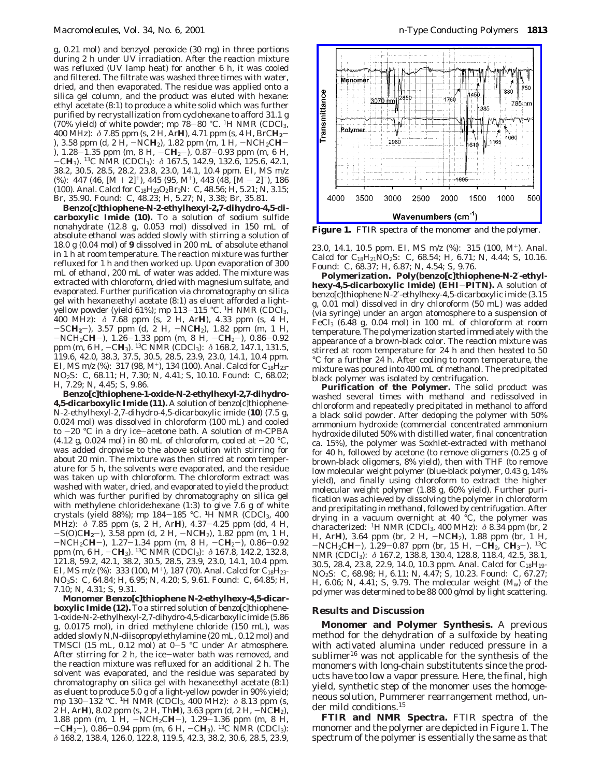g, 0.21 mol) and benzyol peroxide (30 mg) in three portions during 2 h under UV irradiation. After the reaction mixture was refluxed (UV lamp heat) for another 6 h, it was cooled and filtered. The filtrate was washed three times with water, dried, and then evaporated. The residue was applied onto a silica gel column, and the product was eluted with hexane: ethyl acetate (8:1) to produce a white solid which was further purified by recrystallization from cyclohexane to afford 31.1 g (70% yield) of white powder; mp  $78-80$  °C. <sup>1</sup>H NMR (CDCl<sub>3</sub>, 400 MHz): *<sup>δ</sup>* 7.85 ppm (s, 2 H, Ar**H**), 4.71 ppm (s, 4 H, BrC**H2**- ), 3.58 ppm (d, 2 H, -NC**H**2), 1.82 ppm (m, 1 H, -NCH2C**H**- ), 1.28-1.35 ppm (m, 8 H, -C**H**<sub>2</sub>-), 0.87-0.93 ppm (m, 6 H, -C**H**3). 13C NMR (CDCl3): *<sup>δ</sup>* 167.5, 142.9, 132.6, 125.6, 42.1, 38.2, 30.5, 28.5, 28.2, 23.8, 23.0, 14.1, 10.4 ppm. EI, MS *m*/*z*  $(\%): 447 (46, [M+2]^+), 445 (95, M^+), 443 (48, [M-2]^+), 186$ (100). Anal. Calcd for C18H23O2Br2N: C, 48.56; H, 5.21; N, 3.15; Br, 35.90. Found: C, 48.23; H, 5.27; N, 3.38; Br, 35.81.

**Benzo[***c***]thiophene-***N***-2-ethylhexyl-2,7-dihydro-4,5-dicarboxylic Imide (10).** To a solution of sodium sulfide nonahydrate (12.8 g, 0.053 mol) dissolved in 150 mL of absolute ethanol was added slowly with stirring a solution of 18.0 g (0.04 mol) of **9** dissolved in 200 mL of absolute ethanol in 1 h at room temperature. The reaction mixture was further refluxed for 1 h and then worked up. Upon evaporation of 300 mL of ethanol, 200 mL of water was added. The mixture was extracted with chloroform, dried with magnesium sulfate, and evaporated. Further purification via chromatography on silica gel with hexane:ethyl acetate (8:1) as eluent afforded a lightyellow powder (yield 61%); mp 113-115 °C. 1H NMR (CDCl3, 400 MHz): *δ* 7.68 ppm (s, 2 H, Ar**H**), 4.33 ppm (s, 4 H, -SC**H2**-), 3.57 ppm (d, 2 H, -NC**H**2), 1.82 ppm (m, 1 H,  $-NCH_2CH-$ ), 1.26-1.33 ppm (m, 8 H,  $-CH_2-$ ), 0.86-0.92 ppm (m, 6 H, -C**H**3). 13C NMR (CDCl3): *<sup>δ</sup>* 168.2, 147.1, 131.5, 119.6, 42.0, 38.3, 37.5, 30.5, 28.5, 23.9, 23.0, 14.1, 10.4 ppm. EI, MS  $m/z$  (%): 317 (98, M<sup>+</sup>), 134 (100). Anal. Calcd for  $C_{18}H_{23}$ -NO2S: C, 68.11; H, 7.30; N, 4.41; S, 10.10. Found: C, 68.02; H, 7.29; N, 4.45; S, 9.86.

**Benzo[***c***]thiophene-1-oxide-***N***-2-ethylhexyl-2,7-dihydro-4,5-dicarboxylic Imide (11).** A solution of benzo[*c*]thiophene-*N*-2-ethylhexyl-2,7-dihydro-4,5-dicarboxylic imide (**10**) (7.5 g, 0.024 mol) was dissolved in chloroform (100 mL) and cooled to -20 °C in a dry ice-acetone bath. A solution of *<sup>m</sup>*-CPBA (4.12 g, 0.024 mol) in 80 mL of chloroform, cooled at  $-20$  °C, was added dropwise to the above solution with stirring for about 20 min. The mixture was then stirred at room temperature for 5 h, the solvents were evaporated, and the residue was taken up with chloroform. The chloroform extract was washed with water, dried, and evaporated to yield the product which was further purified by chromatography on silica gel with methylene chloride:hexane (1:3) to give 7.6 g of white crystals (yield 88%); mp  $184-185$  °C. <sup>1</sup>H NMR (CDCl<sub>3</sub>, 400) MHz): *<sup>δ</sup>* 7.85 ppm (s, 2 H, Ar**H**), 4.37-4.25 ppm (dd, 4 H, -S(O)C**H2**-), 3.58 ppm (d, 2 H, -NC**H**2), 1.82 ppm (m, 1 H,  $-NCH_2CH-$ ), 1.27-1.34 ppm (m, 8 H,  $-CH_2-$ ), 0.86-0.92 ppm (m, 6 H,  $-CH_3$ ). <sup>13</sup>C NMR (CDCl<sub>3</sub>):  $\delta$  167.8, 142.2, 132.8, 121.8, 59.2, 42.1, 38.2, 30.5, 28.5, 23.9, 23.0, 14.1, 10.4 ppm. EI, MS  $m/z$  (%): 333 (100, M<sup>+</sup>), 187 (70). Anal. Calcd for C<sub>18</sub>H<sub>23</sub>-NO3S: C, 64.84; H, 6.95; N, 4.20; S, 9.61. Found: C, 64.85; H, 7.10; N, 4.31; S, 9.31.

**Monomer Benzo[***c***]thiophene** *N***-2-ethylhexy-4,5-dicarboxylic Imide (12).** To a stirred solution of benzo[*c*]thiophene-1-oxide-*N*-2-ethylhexyl-2,7-dihydro-4,5-dicarboxylic imide (5.86 g, 0.0175 mol), in dried methylene chloride (150 mL), was added slowly *N,N*-diisopropylethylamine (20 mL, 0.12 mol) and TMSCl (15 mL, 0.12 mol) at  $0-5$  °C under Ar atmosphere. After stirring for 2 h, the ice-water bath was removed, and the reaction mixture was refluxed for an additional 2 h. The solvent was evaporated, and the residue was separated by chromatography on silica gel with hexane:ethyl acetate (8:1) as eluent to produce 5.0 g of a light-yellow powder in 90% yield; mp 130-132 °C. 1H NMR (CDCl3, 400 MHz): *<sup>δ</sup>* 8.13 ppm (s, 2 H, Ar**H**), 8.02 ppm (s, 2 H, Th**H**), 3.63 ppm (d, 2 H, -NC**H**2), 1.88 ppm (m, 1 H,  $-NCH_2CH-$ ), 1.29–1.36 ppm (m, 8 H,  $-CH_2-$ ) 0.86–0.94 ppm (m, 6 H,  $-CH_2$ ) <sup>13</sup>C, NMR (CDCL)<sup>1</sup> -C**H**<sup>2</sup>-), 0.86-0.94 ppm (m, 6 H, -C**H**3). 13C NMR (CDCl3): *δ* 168.2, 138.4, 126.0, 122.8, 119.5, 42.3, 38.2, 30.6, 28.5, 23.9,



**Figure 1.** FTIR spectra of the monomer and the polymer.

23.0, 14.1, 10.5 ppm. EI, MS *m*/*z* (%): 315 (100, M+). Anal. Calcd for C18H21NO2S: C, 68.54; H, 6.71; N, 4.44; S, 10.16. Found: C, 68.37; H, 6.87; N, 4.54; S, 9.76.

**Polymerization. Poly(benzo[***c***]thiophene***-N***-2**′**-ethylhexy-4,5-dicarboxylic Imide) (EHI**-**PITN).** A solution of benzo[*c*]thiophene *N*-2′-ethylhexy-4,5-dicarboxylic imide (3.15 g, 0.01 mol) dissolved in dry chloroform (50 mL) was added (via syringe) under an argon atomosphere to a suspension of FeCl3 (6.48 g, 0.04 mol) in 100 mL of chloroform at room temperature. The polymerization started immediately with the appearance of a brown-black color. The reaction mixture was stirred at room temperature for 24 h and then heated to 50 °C for a further 24 h. After cooling to room temperature, the mixture was poured into 400 mL of methanol. The precipitated black polymer was isolated by centrifugation.

**Purification of the Polymer.** The solid product was washed several times with methanol and redissolved in chloroform and repeatedly precipitated in methanol to afford a black solid powder. After dedoping the polymer with 50% ammonium hydroxide (commercial concentrated ammonium hydroxide diluted 50% with distilled water, final concentration ca. 15%), the polymer was Soxhlet-extracted with methanol for 40 h, followed by acetone (to remove oligomers (0.25 g of brown-black oligomers, 8% yield), then with THF (to remove low molecular weight polymer (blue-black polymer, 0.43 g, 14% yield), and finally using chloroform to extract the higher molecular weight polymer (1.88 g, 60% yield). Further purification was achieved by dissolving the polymer in chloroform and precipitating in methanol, followed by centrifugation. After drying in a vacuum overnight at 40 °C, the polymer was characterized: 1H NMR (CDCl3, 400 MHz): *δ* 8.34 ppm (br, 2 H, Ar**H**), 3.64 ppm (br, 2 H, -NC**H**2), 1.88 ppm (br, 1 H,  $-NCH_2CH-$ ), 1.29–0.87 ppm (br, 15 H,  $-CH_2$ ,  $CH_3-$ ). <sup>13</sup>C NMR (CDCl<sub>3</sub>): δ 167.2, 138.8, 130.4, 128.8, 118.4, 42.5, 38.1, 30.5, 28.4, 23.8, 22.9, 14.0, 10.3 ppm. Anal. Calcd for C<sub>18</sub>H<sub>19</sub>-NO2S: C, 68.98; H, 6.11; N, 4.47; S, 10.23. Found: C, 67.27; H, 6.06; N, 4.41; S, 9.79. The molecular weight (*M*w) of the polymer was determined to be 88 000 g/mol by light scattering.

## **Results and Discussion**

**Monomer and Polymer Synthesis.** A previous method for the dehydration of a sulfoxide by heating with activated alumina under reduced pressure in a sublimer<sup>16</sup> was not applicable for the synthesis of the monomers with long-chain substitutents since the products have too low a vapor pressure. Here, the final, high yield, synthetic step of the monomer uses the homogeneous solution, Pummerer rearrangement method, under mild conditions.15

**FTIR and NMR Spectra.** FTIR spectra of the monomer and the polymer are depicted in Figure 1. The spectrum of the polymer is essentially the same as that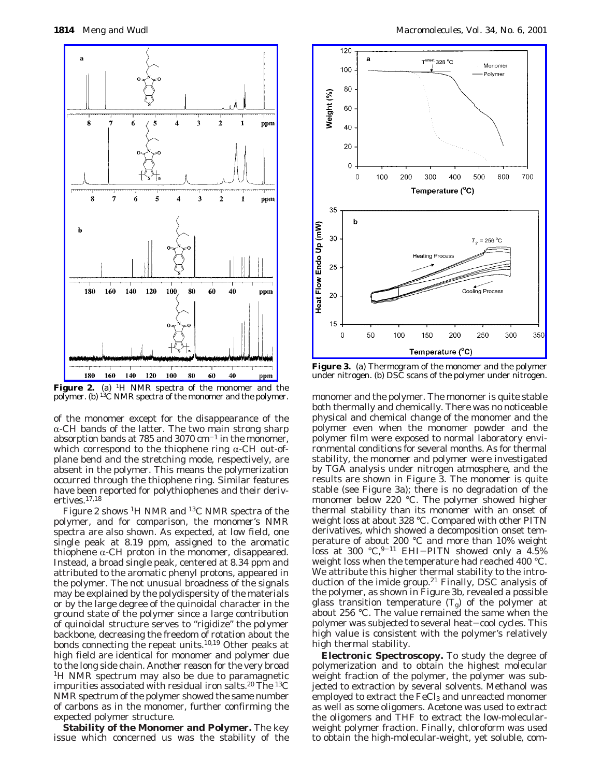

Figure 2. (a) <sup>1</sup>H NMR spectra of the monomer and the polymer. (b) 13C NMR spectra of the monomer and the polymer.

of the monomer except for the disappearance of the  $\alpha$ -CH bands of the latter. The two main strong sharp absorption bands at 785 and 3070  $cm^{-1}$  in the monomer, which correspond to the thiophene ring  $\alpha$ -CH out-ofplane bend and the stretching mode, respectively, are absent in the polymer. This means the polymerization occurred through the thiophene ring. Similar features have been reported for polythiophenes and their derivertives.17,18

Figure 2 shows 1H NMR and 13C NMR spectra of the polymer, and for comparison, the monomer's NMR spectra are also shown. As expected, at low field, one single peak at 8.19 ppm, assigned to the aromatic thiophene  $\alpha$ -CH proton in the monomer, disappeared. Instead, a broad single peak, centered at 8.34 ppm and attributed to the aromatic phenyl protons, appeared in the polymer. The not unusual broadness of the signals may be explained by the polydispersity of the materials or by the large degree of the quinoidal character in the ground state of the polymer since a large contribution of quinoidal structure serves to "rigidize" the polymer backbone, decreasing the freedom of rotation about the bonds connecting the repeat units.10,19 Other peaks at high field are identical for monomer and polymer due to the long side chain. Another reason for the very broad 1H NMR spectrum may also be due to paramagnetic impurities associated with residual iron salts.<sup>20</sup> The  $^{13}C$ NMR spectrum of the polymer showed the same number of carbons as in the monomer, further confirming the expected polymer structure.

**Stability of the Monomer and Polymer.** The key issue which concerned us was the stability of the



**Figure 3.** (a) Thermogram of the monomer and the polymer under nitrogen. (b) DSC scans of the polymer under nitrogen.

monomer and the polymer. The monomer is quite stable both thermally and chemically. There was no noticeable physical and chemical change of the monomer and the polymer even when the monomer powder and the polymer film were exposed to normal laboratory environmental conditions for several months. As for thermal stability, the monomer and polymer were investigated by TGA analysis under nitrogen atmosphere, and the results are shown in Figure 3. The monomer is quite stable (see Figure 3a); there is no degradation of the monomer below 220 °C. The polymer showed higher thermal stability than its monomer with an onset of weight loss at about 328 °C. Compared with other PITN derivatives, which showed a decomposition onset temperature of about 200 °C and more than 10% weight loss at 300  $°C$ , 9-11 EHI-PITN showed only a 4.5% weight loss when the temperature had reached 400 °C. We attribute this higher thermal stability to the introduction of the imide group. $21$  Finally, DSC analysis of the polymer, as shown in Figure 3b, revealed a possible glass transition temperature  $(T_g)$  of the polymer at about 256 °C. The value remained the same when the polymer was subjected to several heat-cool cycles. This high value is consistent with the polymer's relatively high thermal stability.

**Electronic Spectroscopy.** To study the degree of polymerization and to obtain the highest molecular weight fraction of the polymer, the polymer was subjected to extraction by several solvents. Methanol was employed to extract the FeCl<sub>3</sub> and unreacted monomer as well as some oligomers. Acetone was used to extract the oligomers and THF to extract the low-molecularweight polymer fraction. Finally, chloroform was used to obtain the high-molecular-weight, yet soluble, com-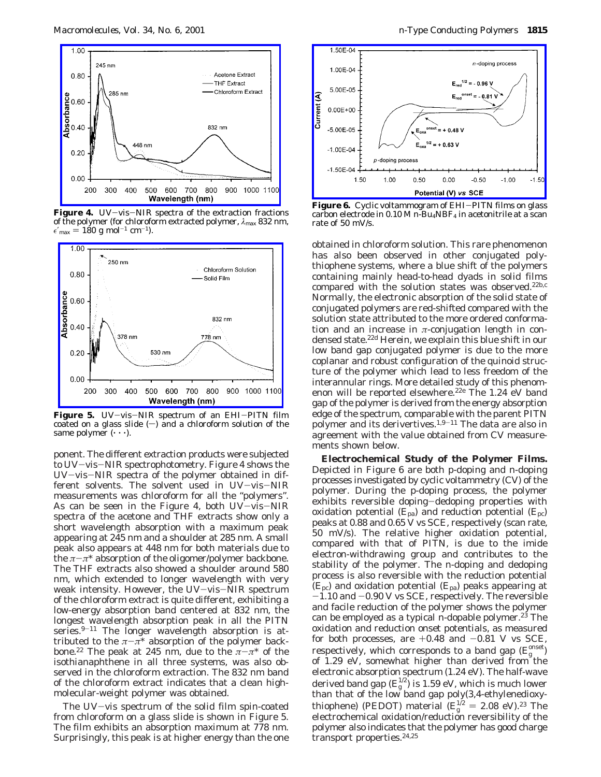

**Figure 4.** UV-vis-NIR spectra of the extraction fractions of the polymer (for chloroform extracted polymer, *λ*max 832 nm,  $\epsilon'_{\text{max}} = 180 \text{ g mol}^{-1} \text{ cm}^{-1}$ .



Figure 5. UV-vis-NIR spectrum of an EHI-PITN film coated on a glass slide  $(-)$  and a chloroform solution of the same polymer  $(\cdot \cdot \cdot)$ .

ponent. The different extraction products were subjected to UV-vis-NIR spectrophotometry. Figure 4 shows the UV-vis-NIR spectra of the polymer obtained in different solvents. The solvent used in UV-vis-NIR measurements was chloroform for all the "polymers". As can be seen in the Figure 4, both UV-vis-NIR spectra of the acetone and THF extracts show only a short wavelength absorption with a maximum peak appearing at 245 nm and a shoulder at 285 nm. A small peak also appears at 448 nm for both materials due to the  $\pi-\pi^*$  absorption of the oligomer/polymer backbone. The THF extracts also showed a shoulder around 580 nm, which extended to longer wavelength with very weak intensity. However, the UV-vis-NIR spectrum of the chloroform extract is quite different, exhibiting a low-energy absorption band centered at 832 nm, the longest wavelength absorption peak in all the PITN series. $9-11$  The longer wavelength absorption is attributed to the  $\pi-\pi^*$  absorption of the polymer backbone.<sup>22</sup> The peak at 245 nm, due to the  $\pi-\pi^*$  of the isothianaphthene in all three systems, was also observed in the chloroform extraction. The 832 nm band of the chloroform extract indicates that a clean highmolecular-weight polymer was obtained.

The UV-vis spectrum of the solid film spin-coated from chloroform on a glass slide is shown in Figure 5. The film exhibits an absorption maximum at 778 nm. Surprisingly, this peak is at higher energy than the one



Figure 6. Cyclic voltammogram of EHI-PITN films on glass carbon electrode in 0.10 M *n*-Bu<sub>4</sub>NBF<sub>4</sub> in acetonitrile at a scan rate of 50 mV/s.

obtained in chloroform solution. This rare phenomenon has also been observed in other conjugated polythiophene systems, where a blue shift of the polymers containing mainly head-to-head dyads in solid films compared with the solution states was observed.<sup>22b,c</sup> Normally, the electronic absorption of the solid state of conjugated polymers are red-shifted compared with the solution state attributed to the more ordered conformation and an increase in *π*-conjugation length in condensed state.<sup>22d</sup> Herein, we explain this blue shift in our low band gap conjugated polymer is due to the more coplanar and robust configuration of the quinoid structure of the polymer which lead to less freedom of the interannular rings. More detailed study of this phenomenon will be reported elsewhere.<sup>22e</sup> The 1.24 eV band gap of the polymer is derived from the energy absorption edge of the spectrum, comparable with the parent PITN polymer and its derivertives.1,9-<sup>11</sup> The data are also in agreement with the value obtained from CV measurements shown below.

**Electrochemical Study of the Polymer Films.** Depicted in Figure 6 are both p-doping and n-doping processes investigated by cyclic voltammetry (CV) of the polymer. During the p-doping process, the polymer exhibits reversible doping-dedoping properties with oxidation potential (*E*pa) and reduction potential (*E*pc) peaks at 0.88 and 0.65 V vs SCE, respectively (scan rate, 50 mV/s). The relative higher oxidation potential, compared with that of PITN, is due to the imide electron-withdrawing group and contributes to the stability of the polymer. The n-doping and dedoping process is also reversible with the reduction potential  $(E_{\rm pc})$  and oxidation potential  $(E_{\rm pa})$  peaks appearing at  $-1.10$  and  $-0.90$  V vs SCE, respectively. The reversible and facile reduction of the polymer shows the polymer can be employed as a typical n-dopable polymer.<sup>23</sup> The oxidation and reduction onset potentials, as measured for both processes, are  $+0.48$  and  $-0.81$  V vs SCE, respectively, which corresponds to a band gap  $(E_{\rm g}^{\rm onset})$ of 1.29 eV, somewhat higher than derived from the electronic absorption spectrum (1.24 eV). The half-wave derived band gap  $(E_{\rm g}^{1/2})$  is 1.59 eV, which is much lower than that of the low band gap poly(3,4-ethylenedioxythiophene) (PEDOT) material  $(E_g^{1/2} = 2.08 \text{ eV})^{23}$  The<br>electrochemical oxidation/reduction reversibility of the electrochemical oxidation/reduction reversibility of the polymer also indicates that the polymer has good charge transport properties.24,25